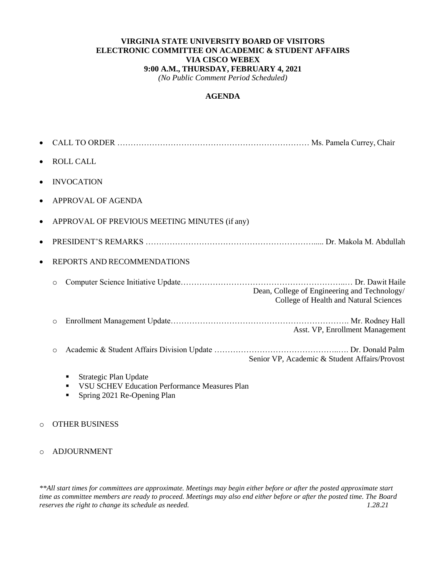### **VIRGINIA STATE UNIVERSITY BOARD OF VISITORS ELECTRONIC COMMITTEE ON ACADEMIC & STUDENT AFFAIRS VIA CISCO WEBEX 9:00 A.M., THURSDAY, FEBRUARY 4, 2021**

*(No Public Comment Period Scheduled)*

### **AGENDA**

|         | <b>ROLL CALL</b>                              |                                                                                        |
|---------|-----------------------------------------------|----------------------------------------------------------------------------------------|
|         | <b>INVOCATION</b>                             |                                                                                        |
|         | APPROVAL OF AGENDA                            |                                                                                        |
|         | APPROVAL OF PREVIOUS MEETING MINUTES (if any) |                                                                                        |
|         |                                               |                                                                                        |
|         | <b>REPORTS AND RECOMMENDATIONS</b>            |                                                                                        |
| $\circ$ |                                               | Dean, College of Engineering and Technology/<br>College of Health and Natural Sciences |
| $\circ$ |                                               | Asst. VP, Enrollment Management                                                        |
| $\circ$ |                                               | Senior VP, Academic & Student Affairs/Provost                                          |
|         | Strategic Plan Update                         |                                                                                        |

- **VSU SCHEV Education Performance Measures Plan**
- Spring 2021 Re-Opening Plan

#### o OTHER BUSINESS

#### o ADJOURNMENT

*\*\*All start times for committees are approximate. Meetings may begin either before or after the posted approximate start time as committee members are ready to proceed. Meetings may also end either before or after the posted time. The Board reserves the right to change its schedule as needed. 1.28.21*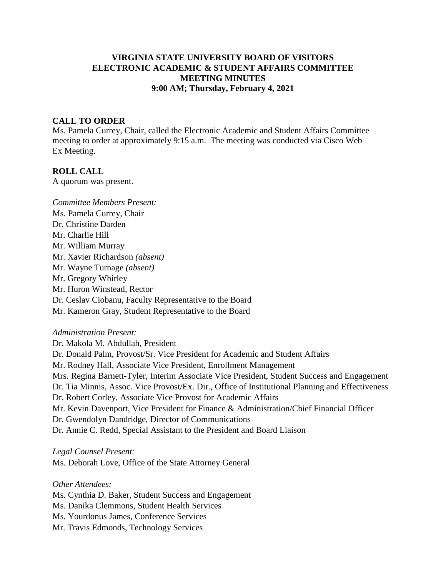### **VIRGINIA STATE UNIVERSITY BOARD OF VISITORS ELECTRONIC ACADEMIC & STUDENT AFFAIRS COMMITTEE MEETING MINUTES 9:00 AM; Thursday, February 4, 2021**

#### **CALL TO ORDER**

Ms. Pamela Currey, Chair, called the Electronic Academic and Student Affairs Committee meeting to order at approximately 9:15 a.m. The meeting was conducted via Cisco Web Ex Meeting.

### **ROLL CALL**

A quorum was present.

*Committee Members Present:*  Ms. Pamela Currey, Chair Dr. Christine Darden Mr. Charlie Hill Mr. William Murray Mr. Xavier Richardson *(absent)*  Mr. Wayne Turnage *(absent)*  Mr. Gregory Whirley Mr. Huron Winstead, Rector Dr. Ceslav Ciobanu, Faculty Representative to the Board Mr. Kameron Gray, Student Representative to the Board

#### *Administration Present:*

Dr. Makola M. Abdullah, President Dr. Donald Palm, Provost/Sr. Vice President for Academic and Student Affairs Mr. Rodney Hall, Associate Vice President, Enrollment Management Mrs. Regina Barnett-Tyler, Interim Associate Vice President, Student Success and Engagement Dr. Tia Minnis, Assoc. Vice Provost/Ex. Dir., Office of Institutional Planning and Effectiveness Dr. Robert Corley, Associate Vice Provost for Academic Affairs Mr. Kevin Davenport, Vice President for Finance & Administration/Chief Financial Officer Dr. Gwendolyn Dandridge, Director of Communications Dr. Annie C. Redd, Special Assistant to the President and Board Liaison

*Legal Counsel Present:*

Ms. Deborah Love, Office of the State Attorney General

*Other Attendees:*

Ms. Cynthia D. Baker, Student Success and Engagement

Ms. Danika Clemmons, Student Health Services

Ms. Yourdonus James, Conference Services

Mr. Travis Edmonds, Technology Services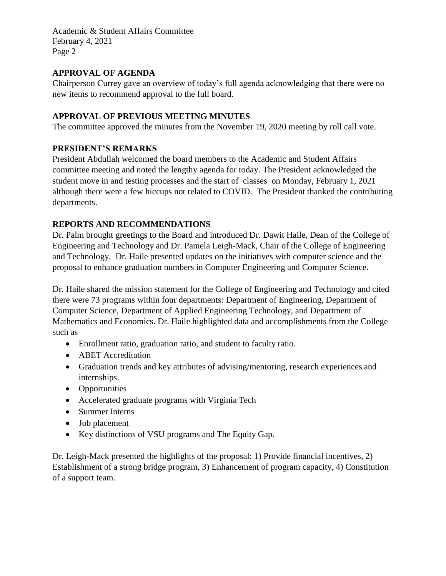### **APPROVAL OF AGENDA**

Chairperson Currey gave an overview of today's full agenda acknowledging that there were no new items to recommend approval to the full board.

# **APPROVAL OF PREVIOUS MEETING MINUTES**

The committee approved the minutes from the November 19, 2020 meeting by roll call vote.

## **PRESIDENT'S REMARKS**

President Abdullah welcomed the board members to the Academic and Student Affairs committee meeting and noted the lengthy agenda for today. The President acknowledged the student move in and testing processes and the start of classes on Monday, February 1, 2021 although there were a few hiccups not related to COVID. The President thanked the contributing departments.

## **REPORTS AND RECOMMENDATIONS**

Dr. Palm brought greetings to the Board and introduced Dr. Dawit Haile, Dean of the College of Engineering and Technology and Dr. Pamela Leigh-Mack, Chair of the College of Engineering and Technology. Dr. Haile presented updates on the initiatives with computer science and the proposal to enhance graduation numbers in Computer Engineering and Computer Science.

Dr. Haile shared the mission statement for the College of Engineering and Technology and cited there were 73 programs within four departments: Department of Engineering, Department of Computer Science, Department of Applied Engineering Technology, and Department of Mathematics and Economics. Dr. Haile highlighted data and accomplishments from the College such as

- Enrollment ratio, graduation ratio, and student to faculty ratio.
- ABET Accreditation
- Graduation trends and key attributes of advising/mentoring, research experiences and internships.
- Opportunities
- Accelerated graduate programs with Virginia Tech
- Summer Interns
- Job placement
- Key distinctions of VSU programs and The Equity Gap.

Dr. Leigh-Mack presented the highlights of the proposal: 1) Provide financial incentives, 2) Establishment of a strong bridge program, 3) Enhancement of program capacity, 4) Constitution of a support team.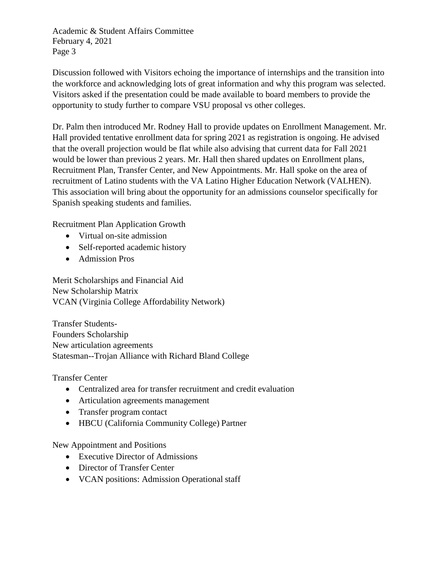Discussion followed with Visitors echoing the importance of internships and the transition into the workforce and acknowledging lots of great information and why this program was selected. Visitors asked if the presentation could be made available to board members to provide the opportunity to study further to compare VSU proposal vs other colleges.

Dr. Palm then introduced Mr. Rodney Hall to provide updates on Enrollment Management. Mr. Hall provided tentative enrollment data for spring 2021 as registration is ongoing. He advised that the overall projection would be flat while also advising that current data for Fall 2021 would be lower than previous 2 years. Mr. Hall then shared updates on Enrollment plans, Recruitment Plan, Transfer Center, and New Appointments. Mr. Hall spoke on the area of recruitment of Latino students with the VA Latino Higher Education Network (VALHEN). This association will bring about the opportunity for an admissions counselor specifically for Spanish speaking students and families.

Recruitment Plan Application Growth

- Virtual on-site admission
- Self-reported academic history
- Admission Pros

Merit Scholarships and Financial Aid New Scholarship Matrix VCAN (Virginia College Affordability Network)

Transfer Students-Founders Scholarship New articulation agreements Statesman--Trojan Alliance with Richard Bland College

Transfer Center

- Centralized area for transfer recruitment and credit evaluation
- Articulation agreements management
- Transfer program contact
- HBCU (California Community College) Partner

New Appointment and Positions

- Executive Director of Admissions
- Director of Transfer Center
- VCAN positions: Admission Operational staff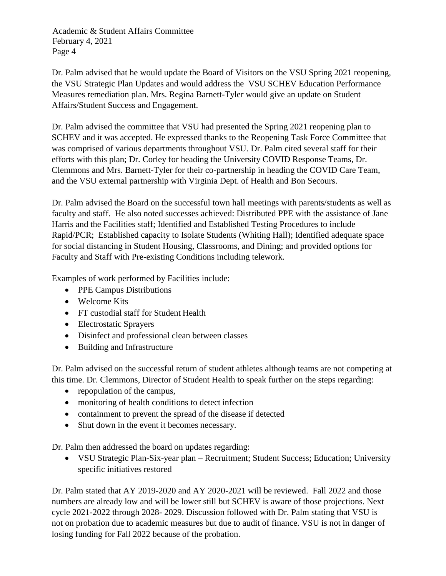Dr. Palm advised that he would update the Board of Visitors on the VSU Spring 2021 reopening, the VSU Strategic Plan Updates and would address the VSU SCHEV Education Performance Measures remediation plan. Mrs. Regina Barnett-Tyler would give an update on Student Affairs/Student Success and Engagement.

Dr. Palm advised the committee that VSU had presented the Spring 2021 reopening plan to SCHEV and it was accepted. He expressed thanks to the Reopening Task Force Committee that was comprised of various departments throughout VSU. Dr. Palm cited several staff for their efforts with this plan; Dr. Corley for heading the University COVID Response Teams, Dr. Clemmons and Mrs. Barnett-Tyler for their co-partnership in heading the COVID Care Team, and the VSU external partnership with Virginia Dept. of Health and Bon Secours.

Dr. Palm advised the Board on the successful town hall meetings with parents/students as well as faculty and staff. He also noted successes achieved: Distributed PPE with the assistance of Jane Harris and the Facilities staff; Identified and Established Testing Procedures to include Rapid/PCR; Established capacity to Isolate Students (Whiting Hall); Identified adequate space for social distancing in Student Housing, Classrooms, and Dining; and provided options for Faculty and Staff with Pre-existing Conditions including telework.

Examples of work performed by Facilities include:

- PPE Campus Distributions
- Welcome Kits
- FT custodial staff for Student Health
- Electrostatic Sprayers
- Disinfect and professional clean between classes
- Building and Infrastructure

Dr. Palm advised on the successful return of student athletes although teams are not competing at this time. Dr. Clemmons, Director of Student Health to speak further on the steps regarding:

- repopulation of the campus,
- monitoring of health conditions to detect infection
- containment to prevent the spread of the disease if detected
- Shut down in the event it becomes necessary.

Dr. Palm then addressed the board on updates regarding:

 VSU Strategic Plan-Six-year plan – Recruitment; Student Success; Education; University specific initiatives restored

Dr. Palm stated that AY 2019-2020 and AY 2020-2021 will be reviewed. Fall 2022 and those numbers are already low and will be lower still but SCHEV is aware of those projections. Next cycle 2021-2022 through 2028- 2029. Discussion followed with Dr. Palm stating that VSU is not on probation due to academic measures but due to audit of finance. VSU is not in danger of losing funding for Fall 2022 because of the probation.